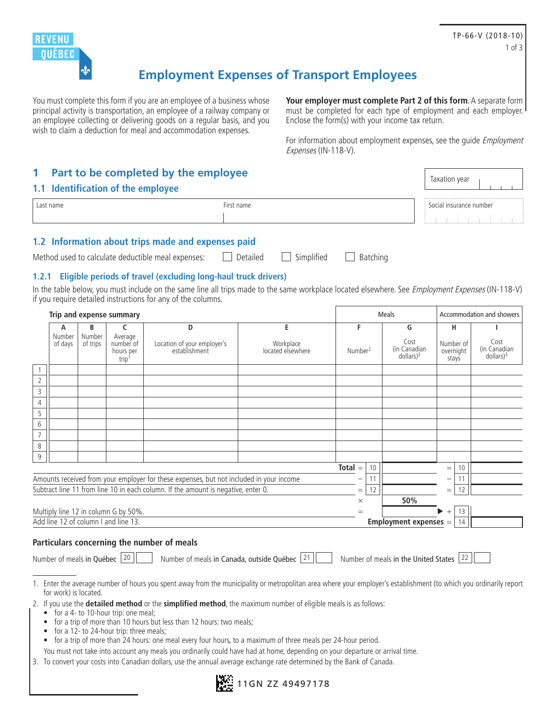

# **Employment Expenses of Transport Employees**

You must complete this form if you are an employee of a business whose principal activity is transportation, an employee of a railway company or an employee collecting or delivering goods on a regular basis, and you wish to claim a deduction for meal and accommodation expenses.

**Your employer must complete Part 2 of this form**. A separate form must be completed for each type of employment and each employer. Enclose the form(s) with your income tax return.

For information about employment expenses, see the quide *Employment* Expenses (IN-118-V).

Taxation year

## **1 Part to be completed by the employee**

#### **1.1 Identification of the employee**

| name | $n \cdot m$<br>чанк | irance number<br>$\sim$ $\sim$ |
|------|---------------------|--------------------------------|
|      |                     |                                |

### **1.2 Information about trips made and expenses paid**

Method used to calculate deductible meal expenses:  $\Box$  Detailed  $\Box$  Simplified  $\Box$  Batching

### **1.2.1 Eligible periods of travel (excluding long-haul truck drivers)**

In the table below, you must include on the same line all trips made to the same workplace located elsewhere. See *Employment Expenses* (IN-118-V) if you require detailed instructions for any of the columns.

| E<br>F<br>G<br>н<br>B<br>D<br>c<br>A<br>Number<br>Number<br>Average<br>Cost<br>of days<br>number of<br>Location of your employer's<br>Workplace<br>Number of<br>of trips<br>(in Canadian<br>establishment<br>located elsewhere<br>Number <sup>2</sup><br>overnight<br>hours per<br>dollars) <sup>3</sup><br>stays<br>trip <sup>1</sup> | Accommodation and showers               |  |  |
|----------------------------------------------------------------------------------------------------------------------------------------------------------------------------------------------------------------------------------------------------------------------------------------------------------------------------------------|-----------------------------------------|--|--|
|                                                                                                                                                                                                                                                                                                                                        |                                         |  |  |
|                                                                                                                                                                                                                                                                                                                                        | Cost<br>(in Canadian<br>$d$ ollars) $3$ |  |  |
|                                                                                                                                                                                                                                                                                                                                        |                                         |  |  |
| $\overline{2}$                                                                                                                                                                                                                                                                                                                         |                                         |  |  |
| 3                                                                                                                                                                                                                                                                                                                                      |                                         |  |  |
| 4                                                                                                                                                                                                                                                                                                                                      |                                         |  |  |
| 5                                                                                                                                                                                                                                                                                                                                      |                                         |  |  |
| 6<br>$\overline{7}$                                                                                                                                                                                                                                                                                                                    |                                         |  |  |
| 8                                                                                                                                                                                                                                                                                                                                      |                                         |  |  |
| 9                                                                                                                                                                                                                                                                                                                                      |                                         |  |  |
| $Total =$<br>10 <sup>°</sup><br>10<br>$=$                                                                                                                                                                                                                                                                                              |                                         |  |  |
| Amounts received from your employer for these expenses, but not included in your income<br>11<br>$\qquad \qquad -$<br>—                                                                                                                                                                                                                |                                         |  |  |
| Subtract line 11 from line 10 in each column. If the amount is negative, enter 0.<br>12<br>12<br>$=$<br>$=$                                                                                                                                                                                                                            |                                         |  |  |
| 50%<br>$\times$                                                                                                                                                                                                                                                                                                                        |                                         |  |  |
| Multiply line 12 in column G by 50%.<br>13<br>▶<br>$^{+}$<br>$=$                                                                                                                                                                                                                                                                       |                                         |  |  |
| Add line 12 of column I and line 13.<br>Employment expenses $=$<br>14                                                                                                                                                                                                                                                                  |                                         |  |  |

#### **Particulars concerning the number of meals**

|  |  |  |  | Number of meals in Québec |
|--|--|--|--|---------------------------|
|--|--|--|--|---------------------------|

 $\vert$  20  $\vert$  Number of meals in Canada, outside Québec  $\vert$  21  $\vert$  Number of meals in the United States  $\vert$  22

- 1. Enter the average number of hours you spent away from the municipality or metropolitan area where your employer's establishment (to which you ordinarily report for work) is located.
- 2. If you use the **detailed method** or the **simplified method**, the maximum number of eligible meals is as follows:
	- for a 4- to 10-hour trip: one meal;
	- for a trip of more than 10 hours but less than 12 hours: two meals;
	- for a 12- to 24-hour trip: three meals;
	- for a trip of more than 24 hours: one meal every four hours, to a maximum of three meals per 24-hour period.
	- You must not take into account any meals you ordinarily could have had at home, depending on your departure or arrival time.
- 3. To convert your costs into Canadian dollars, use the annual average exchange rate determined by the Bank of Canada.

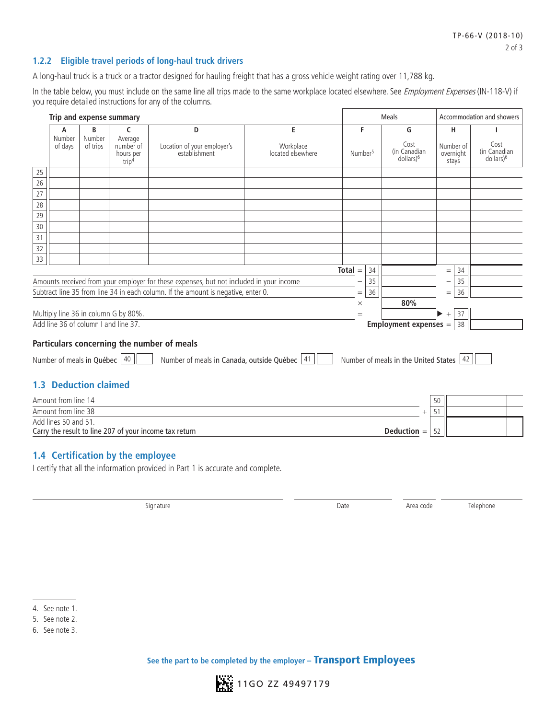#### **1.2.2 Eligible travel periods of long-haul truck drivers**

A long-haul truck is a truck or a tractor designed for hauling freight that has a gross vehicle weight rating over 11,788 kg.

In the table below, you must include on the same line all trips made to the same workplace located elsewhere. See Employment Expenses (IN-118-V) if you require detailed instructions for any of the columns.

| Trip and expense summary                                                   |                    |                                                        |                                                                                         |                                              |                     | <b>Meals</b>                                        | Accommodation and showers       |                                               |
|----------------------------------------------------------------------------|--------------------|--------------------------------------------------------|-----------------------------------------------------------------------------------------|----------------------------------------------|---------------------|-----------------------------------------------------|---------------------------------|-----------------------------------------------|
| A                                                                          | B                  | C                                                      | D                                                                                       | E                                            | F                   | G                                                   | н.                              |                                               |
| Number<br>of days                                                          | Number<br>of trips | Average<br>number of<br>hours per<br>trip <sup>4</sup> | Location of your employer's<br>establishment                                            | Workplace<br>located elsewhere               | Number <sup>5</sup> | Cost<br>(in Canadian<br>dollars) <sup>6</sup>       | Number of<br>overnight<br>stays | Cost<br>(in Canadian<br>dollars) <sup>6</sup> |
| 25                                                                         |                    |                                                        |                                                                                         |                                              |                     |                                                     |                                 |                                               |
| 26                                                                         |                    |                                                        |                                                                                         |                                              |                     |                                                     |                                 |                                               |
| 27                                                                         |                    |                                                        |                                                                                         |                                              |                     |                                                     |                                 |                                               |
| 28                                                                         |                    |                                                        |                                                                                         |                                              |                     |                                                     |                                 |                                               |
| 29                                                                         |                    |                                                        |                                                                                         |                                              |                     |                                                     |                                 |                                               |
| 30<br>31                                                                   |                    |                                                        |                                                                                         |                                              |                     |                                                     |                                 |                                               |
| 32                                                                         |                    |                                                        |                                                                                         |                                              |                     |                                                     |                                 |                                               |
| 33                                                                         |                    |                                                        |                                                                                         |                                              |                     |                                                     |                                 |                                               |
|                                                                            |                    |                                                        |                                                                                         |                                              | $Total =$<br>34     |                                                     | 34<br>$\equiv$                  |                                               |
|                                                                            |                    |                                                        | Amounts received from your employer for these expenses, but not included in your income |                                              | 35                  |                                                     | 35<br>—                         |                                               |
|                                                                            |                    |                                                        | Subtract line 35 from line 34 in each column. If the amount is negative, enter 0.       |                                              | 36<br>$=$           |                                                     | 36<br>$=$                       |                                               |
|                                                                            |                    |                                                        |                                                                                         |                                              | $\times$            | 80%                                                 |                                 |                                               |
| Multiply line 36 in column G by 80%.                                       |                    |                                                        |                                                                                         |                                              | $=$                 |                                                     | 37<br>$+$                       |                                               |
| Add line 36 of column I and line 37.<br><b>Employment expenses =</b><br>38 |                    |                                                        |                                                                                         |                                              |                     |                                                     |                                 |                                               |
|                                                                            |                    |                                                        | Particulars concerning the number of meals                                              |                                              |                     |                                                     |                                 |                                               |
|                                                                            |                    |                                                        |                                                                                         |                                              |                     |                                                     |                                 |                                               |
| Number of meals in Québec 40                                               |                    |                                                        |                                                                                         | Number of meals in Canada, outside Québec 41 |                     | Number of meals in the United States $\frac{42}{5}$ |                                 |                                               |
|                                                                            |                    |                                                        |                                                                                         |                                              |                     |                                                     |                                 |                                               |
| <b>1.3 Deduction claimed</b>                                               |                    |                                                        |                                                                                         |                                              |                     |                                                     |                                 |                                               |
| Amount from line 14                                                        |                    |                                                        |                                                                                         |                                              |                     |                                                     | 50                              |                                               |
| Amount from line 38                                                        |                    |                                                        |                                                                                         |                                              |                     | $^{+}$                                              | 51                              |                                               |
| Add lines 50 and 51.                                                       |                    |                                                        |                                                                                         |                                              |                     |                                                     |                                 |                                               |
|                                                                            |                    |                                                        | Carry the result to line 207 of your income tax return                                  |                                              |                     | Deduction $=$                                       | 52                              |                                               |
|                                                                            |                    |                                                        |                                                                                         |                                              |                     |                                                     |                                 |                                               |
|                                                                            |                    | 1.4 Certification by the employee                      |                                                                                         |                                              |                     |                                                     |                                 |                                               |
|                                                                            |                    |                                                        | I certify that all the information provided in Part 1 is accurate and complete.         |                                              |                     |                                                     |                                 |                                               |
|                                                                            |                    |                                                        |                                                                                         |                                              |                     |                                                     |                                 |                                               |

Signature and the Signature Area code the Telephone Control of the Area code the Telephone Telephone



<sup>4.</sup> See note 1.

<sup>5.</sup> See note 2.

<sup>6.</sup> See note 3.